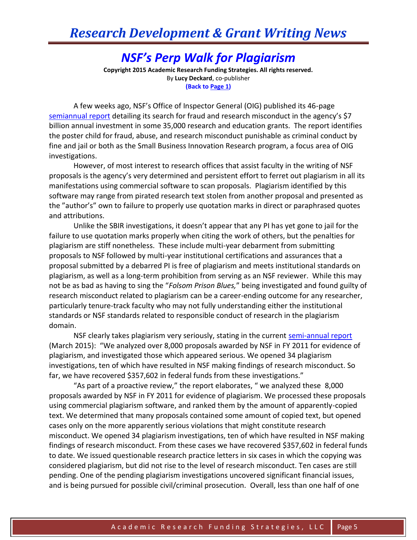## *NSF's Perp Walk for Plagiarism*

**Copyright 2015 Academic Research Funding Strategies. All rights reserved.** By **Lucy Deckard**, co-publisher **(Back to Page 1)**

A few weeks ago, NSF's Office of Inspector General (OIG) published its 46-page [semiannual report](http://www.nsf.gov/pubs/2015/oig15002/oig15002.pdf?WT.mc_id=USNSF_124) detailing its search for fraud and research misconduct in the agency's \$7 billion annual investment in some 35,000 research and education grants. The report identifies the poster child for fraud, abuse, and research misconduct punishable as criminal conduct by fine and jail or both as the Small Business Innovation Research program, a focus area of OIG investigations.

However, of most interest to research offices that assist faculty in the writing of NSF proposals is the agency's very determined and persistent effort to ferret out plagiarism in all its manifestations using commercial software to scan proposals. Plagiarism identified by this software may range from pirated research text stolen from another proposal and presented as the "author's" own to failure to properly use quotation marks in direct or paraphrased quotes and attributions.

Unlike the SBIR investigations, it doesn't appear that any PI has yet gone to jail for the failure to use quotation marks properly when citing the work of others, but the penalties for plagiarism are stiff nonetheless. These include multi-year debarment from submitting proposals to NSF followed by multi-year institutional certifications and assurances that a proposal submitted by a debarred PI is free of plagiarism and meets institutional standards on plagiarism, as well as a long-term prohibition from serving as an NSF reviewer. While this may not be as bad as having to sing the "*Folsom Prison Blues,*" being investigated and found guilty of research misconduct related to plagiarism can be a career-ending outcome for any researcher, particularly tenure-track faculty who may not fully understanding either the institutional standards or NSF standards related to responsible conduct of research in the plagiarism domain.

NSF clearly takes plagiarism very seriously, stating in the current [semi-annual report](http://www.nsf.gov/pubs/2015/oig15002/oig15002.pdf?WT.mc_id=USNSF_124) (March 2015): "We analyzed over 8,000 proposals awarded by NSF in FY 2011 for evidence of plagiarism, and investigated those which appeared serious. We opened 34 plagiarism investigations, ten of which have resulted in NSF making findings of research misconduct. So far, we have recovered \$357,602 in federal funds from these investigations."

"As part of a proactive review," the report elaborates, " we analyzed these 8,000 proposals awarded by NSF in FY 2011 for evidence of plagiarism. We processed these proposals using commercial plagiarism software, and ranked them by the amount of apparently-copied text. We determined that many proposals contained some amount of copied text, but opened cases only on the more apparently serious violations that might constitute research misconduct. We opened 34 plagiarism investigations, ten of which have resulted in NSF making findings of research misconduct. From these cases we have recovered \$357,602 in federal funds to date. We issued questionable research practice letters in six cases in which the copying was considered plagiarism, but did not rise to the level of research misconduct. Ten cases are still pending. One of the pending plagiarism investigations uncovered significant financial issues, and is being pursued for possible civil/criminal prosecution. Overall, less than one half of one